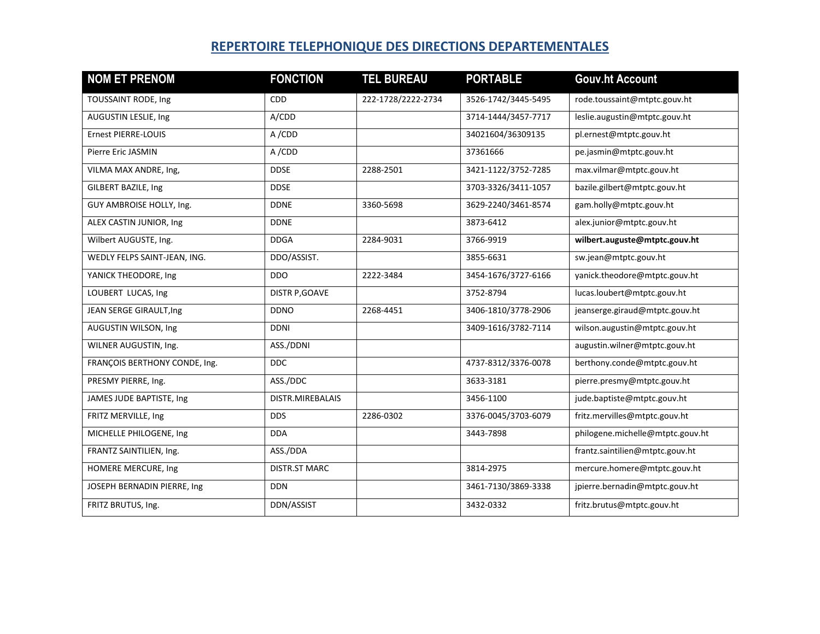## **REPERTOIRE TELEPHONIQUE DES DIRECTIONS DEPARTEMENTALES**

| <b>NOM ET PRENOM</b>          | <b>FONCTION</b>       | <b>TEL BUREAU</b>  | <b>PORTABLE</b>     | <b>Gouv.ht Account</b>           |
|-------------------------------|-----------------------|--------------------|---------------------|----------------------------------|
| TOUSSAINT RODE, Ing           | <b>CDD</b>            | 222-1728/2222-2734 | 3526-1742/3445-5495 | rode.toussaint@mtptc.gouv.ht     |
| AUGUSTIN LESLIE, Ing          | A/CDD                 |                    | 3714-1444/3457-7717 | leslie.augustin@mtptc.gouv.ht    |
| Ernest PIERRE-LOUIS           | A/CDD                 |                    | 34021604/36309135   | pl.ernest@mtptc.gouv.ht          |
| Pierre Eric JASMIN            | A/CDD                 |                    | 37361666            | pe.jasmin@mtptc.gouv.ht          |
| VILMA MAX ANDRE, Ing,         | <b>DDSE</b>           | 2288-2501          | 3421-1122/3752-7285 | max.vilmar@mtptc.gouv.ht         |
| GILBERT BAZILE, Ing           | <b>DDSE</b>           |                    | 3703-3326/3411-1057 | bazile.gilbert@mtptc.gouv.ht     |
| GUY AMBROISE HOLLY, Ing.      | <b>DDNE</b>           | 3360-5698          | 3629-2240/3461-8574 | gam.holly@mtptc.gouv.ht          |
| ALEX CASTIN JUNIOR, Ing       | <b>DDNE</b>           |                    | 3873-6412           | alex.junior@mtptc.gouv.ht        |
| Wilbert AUGUSTE, Ing.         | <b>DDGA</b>           | 2284-9031          | 3766-9919           | wilbert.auguste@mtptc.gouv.ht    |
| WEDLY FELPS SAINT-JEAN, ING.  | DDO/ASSIST.           |                    | 3855-6631           | sw.jean@mtptc.gouv.ht            |
| YANICK THEODORE, Ing          | <b>DDO</b>            | 2222-3484          | 3454-1676/3727-6166 | yanick.theodore@mtptc.gouv.ht    |
| LOUBERT LUCAS, Ing            | <b>DISTR P, GOAVE</b> |                    | 3752-8794           | lucas.loubert@mtptc.gouv.ht      |
| JEAN SERGE GIRAULT, Ing       | <b>DDNO</b>           | 2268-4451          | 3406-1810/3778-2906 | jeanserge.giraud@mtptc.gouv.ht   |
| AUGUSTIN WILSON, Ing          | <b>DDNI</b>           |                    | 3409-1616/3782-7114 | wilson.augustin@mtptc.gouv.ht    |
| WILNER AUGUSTIN, Ing.         | ASS./DDNI             |                    |                     | augustin.wilner@mtptc.gouv.ht    |
| FRANÇOIS BERTHONY CONDE, Ing. | DDC.                  |                    | 4737-8312/3376-0078 | berthony.conde@mtptc.gouv.ht     |
| PRESMY PIERRE, Ing.           | ASS./DDC              |                    | 3633-3181           | pierre.presmy@mtptc.gouv.ht      |
| JAMES JUDE BAPTISTE, Ing      | DISTR.MIREBALAIS      |                    | 3456-1100           | jude.baptiste@mtptc.gouv.ht      |
| FRITZ MERVILLE, Ing           | <b>DDS</b>            | 2286-0302          | 3376-0045/3703-6079 | fritz.mervilles@mtptc.gouv.ht    |
| MICHELLE PHILOGENE, Ing       | <b>DDA</b>            |                    | 3443-7898           | philogene.michelle@mtptc.gouv.ht |
| FRANTZ SAINTILIEN, Ing.       | ASS./DDA              |                    |                     | frantz.saintilien@mtptc.gouv.ht  |
| HOMERE MERCURE, Ing           | <b>DISTR.ST MARC</b>  |                    | 3814-2975           | mercure.homere@mtptc.gouv.ht     |
| JOSEPH BERNADIN PIERRE, Ing   | <b>DDN</b>            |                    | 3461-7130/3869-3338 | jpierre.bernadin@mtptc.gouv.ht   |
| FRITZ BRUTUS, Ing.            | DDN/ASSIST            |                    | 3432-0332           | fritz.brutus@mtptc.gouv.ht       |